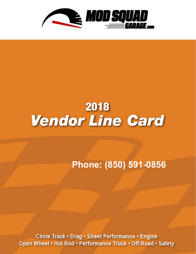

**Phone: (850) 591-0856**

Circle Track • Drag • Street Performance • Engine Open Wheel • Hot Rod • Performance Truck • Off-Road • Safety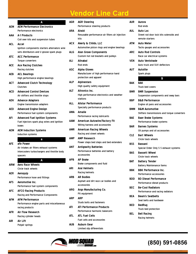|            | Δ                                             |
|------------|-----------------------------------------------|
| AEM        | <b>AEM Performance Electronics</b>            |
|            | <b>Performance electronics</b>                |
| AAA        | A-1 Products                                  |
|            | Coil over kits and suspension tubes           |
| ACL        | Accel                                         |
|            | Ignition components starters alternators wire |
|            | sets distributors and U groove spark plugs    |
| <b>ATC</b> | <b>ACC Performance</b>                        |
|            | Torque converters                             |
| <b>ACE</b> | <b>Ace Racing Clutches</b>                    |
|            | Racing clutches                               |
| AEB        | ACL Bearings                                  |
|            | High performance engine bearings              |
| <b>ACT</b> | <b>Advanced Clutch Technology</b>             |
|            | Clutches                                      |
| <b>ACD</b> | <b>Advanced Control Devices</b>               |
|            | Air shifters and throttle stops               |
| ADV        | <b>Advance Adapters</b>                       |
|            | Engine transmission adapters                  |
| AED        | <b>Advanced Engine Design</b>                 |
|            | Performance fuel system components            |
| AFI        | <b>Advanced Fuel Ignition Systems</b>         |
|            | Fuel injectors spark plug wires and ignition  |
|            | boxes                                         |
| AEM        | <b>AEM Induction Systems</b>                  |
|            | Induction systems                             |
|            | a                                             |
| AFE        | aFe Power                                     |
|            | Air intakes air filters exhaust systems       |
|            | intercoolers turbochargers and throttle body  |
|            | spacers                                       |
|            | Δ                                             |
| ARW        | <b>Aero Race Wheels</b>                       |
|            | Circle track wheels                           |
| AER        | Aeroquip                                      |
|            | Performance hose and fittings                 |
| <b>AFS</b> | Aeromotive Inc.                               |
|            | Performance fuel system components            |
| AFC        | <b>AFCO Racing Products</b>                   |
|            | Racing and Performance Components             |
| AFM        | <b>AFM Performance</b>                        |
|            | Performance engine parts and miscellaneous    |
|            | racing products                               |
| AFR        | Air Flow Research                             |
|            | Racing cylinder heads                         |
| AIR.       | Air Lift                                      |
|            | Polyair springs                               |

| AGR        | <b>AGR Steering</b><br>Performance steering products                                   |
|------------|----------------------------------------------------------------------------------------|
| ARA        | Airaid                                                                                 |
|            | Resusable performance air filters air injection<br>kits                                |
| <b>ACX</b> | Akerly & Childs, LLC<br>Automotive piston rings and engine bearings                    |
| ALG.       | <b>Alan Grove Components</b><br>Custom hot rod brackets and pulleys                    |
| ALI        | Alinabal<br>Rod ends                                                                   |
| ASC        | <b>Alpha Gloves</b><br>Manufacturer of high performance hand<br>protection and apparel |
| <b>ALP</b> | Alpinestars<br>High quality safety equipment                                           |
| ALT        | <b>Altronics Inc.</b><br>High performance electronics and weather<br>stations          |
| ALL        | <b>Allstar Performance</b><br>Specialty performance products                           |
| ΑΜΑ        | Amalie<br>Performance racing lubricants                                                |
| AAW        | <b>American Autowire/Factory Fit</b><br>Wiring harness and accessories                 |
| AMR        | <b>American Racing Wheels</b><br>Racing and street wheels                              |
| AMP        | <b>AMP Research</b><br>Power steps bed steps and bed extenders                         |
| ANT        | <b>Antigravity Batteries</b><br>Performance batteries and battery<br>accessories       |
| APB        | <b>AP Brake</b><br>Brake components and fluid                                          |
| ARI        | Arai Helmets<br><b>Racing helmets</b>                                                  |
| ARB        | <b>AR Bodies</b><br>Asphalt and dirt race car bodies and<br>accessories                |
| ARG        | Argo Manufacturing Co.<br>Pit equipment                                                |
| ARP        | <b>ARP</b><br><b>Studs bolts and fasteners</b>                                         |
| ATI        | <b>ATI Performance Products</b><br>Performance harmonic balancers                      |
| ATL        | <b>ATL Fuel Cells</b><br><b>Fuel cells and accessories</b>                             |
| <b>AUB</b> | Auburn Gear                                                                            |

| AUR | Aurora<br>Rod ends                                                        |
|-----|---------------------------------------------------------------------------|
| AUL | <b>Auto Loc</b>                                                           |
|     | Street rod door lock kits solenoids and<br>remote starters                |
| ATM | Auto Meter                                                                |
|     | Tachs gauges and accessories                                              |
| ARC | <b>Auto Rod Controls</b>                                                  |
|     | Race car electrical systems                                               |
| VEN | Auto Ventshade                                                            |
|     | Auto truck and SUV deflectors                                             |
| AUT | <b>Autolite</b>                                                           |
|     | Spark plugs                                                               |
|     | В                                                                         |
| BAK | <b>BAK</b><br><b>Truck bed covers</b>                                     |
| BMR | <b>BMR Suspension</b>                                                     |
|     | Suspension components and sway bars                                       |
| BBP | <b>B&amp;B Performance</b>                                                |
|     | Engine oil pans and accessories                                           |
| BMM | <b>B&amp;M Automotive</b><br>Shifters transmissions and torque converters |
| BAE | <b>Baer Brake Systems</b>                                                 |
|     | Performance brake systems                                                 |
| BAR | <b>Barnes Systems</b>                                                     |
|     | Oil pumps and oil accessories                                             |
| CLE | <b>Bart Wheels</b>                                                        |
|     | Circle track wheels                                                       |
| BSS | Bassani                                                                   |
|     | Special Order Only S S exhaust systems                                    |
| BAS | <b>Bassett Wheel</b><br>Circle track wheels                               |
| BAT | Battery Tender                                                            |
|     | <b>Battery Maintenance Items</b>                                          |
| BBK | <b>BBK Performance Inc.</b>                                               |
|     | Performance accessories                                                   |
| BDD | <b>BD Diesel Performance</b>                                              |
|     | Performance diesel products                                               |
| BEC | <b>Be-Cool Radiators</b>                                                  |
|     | Performance and racing radiators                                          |
| BEA | <b>Beam's Seatbelts</b>                                                   |
|     | Seat belts and hardware                                                   |
| BED | <b>BedRug</b>                                                             |
|     | Truck bed protection                                                      |
| BEL | <b>Bell Racing</b>                                                        |
|     | Racing helmets                                                            |



Limited slip differentials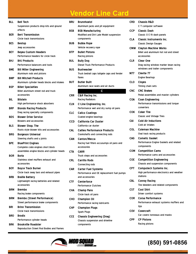| BLL        | <b>Bell Tech</b><br>Suspension products drop kits and ground<br>effects                                       |
|------------|---------------------------------------------------------------------------------------------------------------|
| BER        | <b>Bert Transmission</b><br>Circle track transmissions                                                        |
| BES        | <b>Bestop</b><br>Jeep accessories                                                                             |
| BEY        | <b>Beyea Custom Headers</b><br>Performance headers for circle track                                           |
| BHJ        | <b>BHJ Products</b><br>Performance balancers and tools                                                        |
| <b>BME</b> | <b>Bill Miller Engineering</b><br>Aluminum rods and pistons                                                   |
| BMP        | <b>Bill Mitchell Products</b><br>Aluminum cylinder heads blocks and intakes                                   |
| BSP        | <b>Billet Specialties</b><br>Billet aluminum street rod and truck<br>accessories                              |
| BIL        | <b>Bilstein</b><br>High performance shock absorbers                                                           |
| <b>BRP</b> | <b>Biondo Racing Products</b><br>Drag racing specialty components                                             |
| BDS.       | <b>Blower Drive Service</b><br><b>Blowers and accessories</b>                                                 |
| BLS        | <b>Blower Shop, The</b><br>Roots style blower kits and accessories                                            |
| <b>BRG</b> | <b>Borgeson Universal</b><br>Steering shafts and u joints                                                     |
| <b>BPE</b> | <b>BluePrint Engines</b><br>Complete crate engines short block<br>assemblies engine blocks and cylinder heads |
| BOR        | Borla<br>Stainless steel mufflers exhaust and<br>accessories                                                  |
| BOY        | <b>Boyce Track Burner</b><br>Circle track sway bars and exhaust pipes                                         |
| BRB.       | <b>Braille Battery</b><br>Lightweight racing batteries and related<br>accessories                             |
| BRM        | <b>Brembo</b><br>Racing brake components                                                                      |
| BRM        | <b>Brembo (Street Performance)</b><br>Street performance brake components                                     |
| BRI        | <b>Brinn Transmission</b><br>Circle track transmissions                                                       |
| BRO.       | Brodix<br>Performance cylinder heads                                                                          |
| <b>BRK</b> | <b>Brookville Roadster</b><br>Reproduction Street Rod Bodies and Frames                                       |

| BRU        | <b>Brunnhoelzl</b><br>Aluminum jacks and pit equipment                                     |
|------------|--------------------------------------------------------------------------------------------|
| <b>BSB</b> | <b>BSB Manufacturing</b><br>Modified and Dirt Late Model suspension<br>components          |
| <b>BUB</b> | <b>Bubba Rope</b><br>Vehicle recovery rope                                                 |
| BTP        | <b>Bullet Pistons</b><br>Racing pistons                                                    |
| BUL        | <b>Bully Dog</b><br><b>Diesel Truck Performance Products</b>                               |
| BUS        | Bushwacker<br>Truck bedrail caps tailgate caps and fender<br>flares                        |
| BUT        | <b>Butler Built</b><br>Aluminum race seats and air ducts                                   |
| CRR        | C<br><b>C&amp;R Racing Inc.</b><br><b>Racing Radiators</b>                                 |
| CLN        | C-Line Engineering, Inc.<br>Performance wet and dry sump oil pans                          |
| CLC        | <b>Calico Coatings</b><br>Coated engine bearings                                           |
| CCD        | <b>California Car Duster</b><br>California car duster                                      |
| CAL        | <b>Callies Performance Products</b><br>Crankshafts and connecting rods                     |
| CAN        | <b>Canton/Mecca</b><br>Racing fuel filters accusumps oil pans and<br>accessories           |
| CTA        | <b>CARR</b><br>Truck steps and accessories                                                 |
| CRL        | <b>Carrillo Rods</b><br>Connecting rods                                                    |
| CAR        | <b>Carter Fuel Systems</b><br>Performance and OE replacement fuel pumps<br>and accessories |
| CTF        | Centerforce<br><b>Performance Clutches</b>                                                 |
| CHA        | Champ Pans<br>Circle track oil pans                                                        |
| сно        | <b>Champion Oil</b><br>Performance racing lubricants                                       |
| CHP        | <b>Champion Plugs</b><br><b>Spark Plugs</b>                                                |
| CCE        | <b>Chassis Engineering (Drag)</b><br>Chassis suspension and driveline<br>components        |
|            |                                                                                            |

**CRD Chassis R&D** C T computer software **CCP Classic Dash** Classic O E fit dash panels **CLA Classic Instruments Inc.** Classic Design Gauges **CMW Clayton Machine Works** Billet and aluminum hot rod and street accessories **CLR Clear One** Drag racing window marker lexan racing windows and trailer components **M77 Clevite 77** Engine Bearings **CLO Cloyes** Timing chain sets **CNC CNC Brakes** Pedal assemblies and master cylinders **COA Coan Engineering** Performance transmissions and torque converters **COK Coker Tire** Classic and Vintage Tires **CAI Cold Air Inductions** Cold air intakes **COL Coleman Machine** Oval track racing products **CAG Cometic Gasket** Performance Engine Gaskets and related components **COM Competition Cams** Performance cams and accessories **COE Competition Engineering** Chassis and suspension components **CPT Computech Systems Inc.** High performance electronics and weather stations **CBL Conroy Racing** Tire bleeders and related components **CST Cool Shirt** Driver comfort systems **COR Corsa Performance** Performance exhaust systems mufflers and tips **COV Covercraft** Car covers tonneaus and masks **CPP CP Pistons** Racing pistons

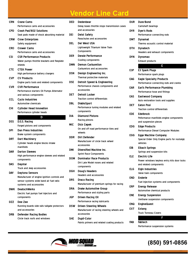| CRN        | Crane Cams<br>Performance cams and accessories                                                                                               |
|------------|----------------------------------------------------------------------------------------------------------------------------------------------|
| <b>CPD</b> | <b>Crash Pad/802 Solutions</b><br>Seat pads made of shock absorbing material                                                                 |
| <b>CRW</b> | <b>Crow Enterprizes</b><br>Safety equipment                                                                                                  |
| <b>CRO</b> | <b>Crower Cams</b><br>Performance cams and accessories                                                                                       |
| CSI        | <b>CSR Performance Products</b><br>Water pumps throttle brackets and flexplate<br>shields                                                    |
| <b>CTE</b> | <b>CTEK Power</b><br>High performance battery chargers                                                                                       |
| <b>CVP</b> | <b>CV Products</b><br>Engine parts tools and related components                                                                              |
| CVR        | <b>CVR Performance</b><br>Performance starters Oil Pumps Alternator<br>and various components                                                |
| CCL        | <b>Cyclo Industries</b><br><b>Automotive chemicals</b>                                                                                       |
| CHI        | <b>Cylinder Head Innovation</b><br>Performance cylinder heads                                                                                |
|            | D                                                                                                                                            |
|            |                                                                                                                                              |
| DSS        | D.S.S. Racing<br>Forged pistons and components                                                                                               |
| DPI        | <b>Dan Press Industries</b><br>Brake system components                                                                                       |
| DRT        | <b>Dart Machinery</b><br>Cylinder heads engine blocks intake<br>manifolds                                                                    |
| <b>DAR</b> | <b>Darton Sleeves</b><br>High performance engine sleeves and related<br>components                                                           |
| DAS        | Daystar<br>Truck and Jeep accessories                                                                                                        |
| DAY.       | <b>Daytona Sensors</b><br>Manufacturer of engine ignition controls and<br>sensor systems wide band air fuel ratio<br>systems and accessories |
| <b>DWK</b> | <b>DeatschWerks</b><br>Electric fuel pumps fuel injectors and<br>components                                                                  |
| <b>DZZ</b> | Dee Zee<br>Running boards side rails tailgate protectors<br>and accessories                                                                  |

| DED        | Dedenbear<br>Delay boxes throttle stops transmission cases<br>and accessories              |
|------------|--------------------------------------------------------------------------------------------|
| DEI        | <b>Deist Safety</b><br>Parachutes and accessories                                          |
| DEL        | Del West USA<br>Lightweight Titanium Valve Train<br>Components                             |
| DER        | <b>Derale Performance</b><br>Cooling components                                            |
| DMN        | <b>Demon Carburetion</b><br>Carburetors and accessories                                    |
| <b>DSN</b> | Design Engineering Inc.<br>Thermal protective materials                                    |
| DSE        | Detroit Speed & Engineering<br>Performance chassis components and<br>accessories           |
| DET        | Detroit Locker<br><b>Traction control differentials</b>                                    |
| DBL        | DiabloSport<br>Performance tuning modules and related<br>components                        |
| DIA        | <b>Diamond Pistons</b><br>Racing pistons                                                   |
| MIC        | <b>Dick Cepek</b><br>On and off road performance tires and<br>wheels                       |
| DDR        | <b>Dirt Defender</b><br>Manufacturer of circle track wheel<br>accessories                  |
| DMI        | <b>Diversified Machine Inc.</b><br><b>Sprint Race Components</b>                           |
| DOM        | <b>Dominator Race Products</b><br>Dirt Late Model noses and related<br>components          |
| DGH        | <b>Doug's Headers</b><br><b>Headers and accessories</b>                                    |
| DRS        | <b>Draco Racing</b><br>Manufacturer of premium springs for racing                          |
| DRA        | <b>Drake Automotive Group</b><br>Performance and styling parts                             |
| JGP        | <b>Driven Racing Oil</b><br>Performance racing lubricants                                  |
| DSW        | <b>Driven Steering Wheels</b><br>Manufacturer of racing steering wheels and<br>accessories |
| SHE        | <b>Dupli-Color</b><br>Paints primers and related coating products                          |

| <b>DUR</b> | Dura-Bond<br><b>Camshaft bearings</b>                                 |
|------------|-----------------------------------------------------------------------|
| <b>DYR</b> | Dyer's Rods<br>Performance connecting rods                            |
| DMT        | Dynamat<br>Thermo acoustic control material                           |
| DTH        | Dynatech<br>Headers and exhaust components                            |
| DYN        | Dynomax<br><b>Exhaust products</b>                                    |
|            | Ē                                                                     |
| E3P        | <b>E3 Spark Plugs</b><br>Performance spark plugs                      |
| EAG        | <b>Eagle Specialty Products</b>                                       |
|            | Performance connecting rods and cranks                                |
| EAR        | <b>Earl's Performance Plumbing</b>                                    |
|            | Performance hose and fittings                                         |
| EAS        | <b>Eastwood Company</b>                                               |
|            | Auto restoration tools and supplies                                   |
| DET        | <b>Eaton Posi</b>                                                     |
|            | <b>Traction control differentials</b>                                 |
| EDE        | Edelbrock                                                             |
|            | Peformance manifolds engine components                                |
|            | and suspension pieces                                                 |
| EDG        | <b>Edge Products</b>                                                  |
|            | Performance Diesel Computer Modules                                   |
| EGG        | Egge Machine Company                                                  |
|            | Special Order Only Engine parts for nostalgic<br>vehicles             |
| EIB        | Eibach Springs                                                        |
|            | Springs and suspension kits                                           |
| ele        | Electric-Life                                                         |
|            | Power windows keyless entry kits door locks<br>and related components |
| ELG        | Elgin Industries<br>Valve train components                            |
| END        | <b>Enderle</b><br>Fuel injection systems and components               |
| ERP        |                                                                       |
|            | <b>Energy Release</b><br>Automotive chemical products                 |
| ENE        | <b>Energy Suspension</b><br>Urethane suspension components            |
| ENQ        | <b>EngineQuest</b>                                                    |
| EXT        | Extang                                                                |
|            | Truck Tonneau Covers                                                  |
|            | F                                                                     |
| FAB        | Fabtech                                                               |



### **(850) 591-0856**

Performance suspension systems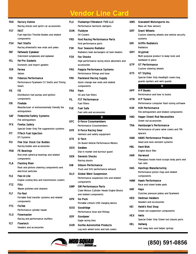| <b>FKK</b> | <b>Factory Kahne</b><br>Racing shocks and sprint car accessories                        |
|------------|-----------------------------------------------------------------------------------------|
| <b>FST</b> | <b>FAST</b><br>Fuel Injection Throttle Bodies and related                               |
|            | components                                                                              |
| <b>FSH</b> | <b>Fast Shafts</b>                                                                      |
|            | Racing driveshafts rear ends and yokes                                                  |
| FAT        | <b>Fatheadz Eyewear</b>                                                                 |
| FEL        | Oversized sunglasses and eyewear<br><b>Fel-Pro Gaskets</b>                              |
|            | Domestic and import gaskets                                                             |
| FER        | Ferrea                                                                                  |
|            | Valves                                                                                  |
| FID        | <b>Fidanza Performance</b><br>Performance Flywheels CV Shafts and Timing<br>Gears       |
| FIE        | FIE<br>Distributors fuel pumps and ignition                                             |
|            | components                                                                              |
| FIR        | <b>FireAde</b>                                                                          |
|            | Manufacturer of environmentally friendly fire<br>extinguishers                          |
| <b>SAF</b> | <b>Firebottle/Safety Systems</b><br>Fire extinguishers                                  |
| <b>FFX</b> | <b>Firefox Safety</b><br>Special Order Only Fire suppression systems                    |
| FIT        | <b>FiTech Fuel Injection</b><br><b>EFI Systems</b>                                      |
| FIV        | <b>Five Star Stock Car Bodies</b>                                                       |
|            | Racing bodies and accessories                                                           |
| FKB        | <b>FK Bearings</b><br>Rod ends spherical bearings and related                           |
|            | components                                                                              |
| FLA        | <b>Flaming River</b><br>Rack and pinions steering components and<br>electrical switches |
| FLE        | Flex-A-Lite                                                                             |
|            | Engine cooling fans and transmission coolers                                            |
| FTZ        | <b>Flitz</b>                                                                            |
|            | Waxes polishes and cleaners                                                             |
| FLF        | <b>Flo-Fast</b>                                                                         |
|            | Portable fluid transfer systems and related<br>components                               |
| FTC        | <b>FloTek</b>                                                                           |
|            | Performance cylinder heads                                                              |
| FLO        | <b>Flowmaster</b><br>Racing and performance mufflers                                    |
| FLT        | <b>Flowtech</b>                                                                         |
|            | <b>Headers and accessories</b>                                                          |

| FLU        | <b>Fluidampr/Vibratech TVD LLC</b><br>Performance harmonic dampers                                 |
|------------|----------------------------------------------------------------------------------------------------|
| <b>DUN</b> | <b>Fluidyne</b><br><b>Oil Coolers</b>                                                              |
| FRD        | <b>Ford Racing Performance Parts</b><br>Ford performance parts                                     |
| <b>FSR</b> | <b>Four Seasons Radiator</b><br>Radiators heat exchangers oil tank heaters                         |
| FOX        | <b>Fox Shocks</b><br>High performance racing shock absorbers and<br>accessories                    |
| FRG        | <b>Fragola Performance Systems</b><br>Performance fittings and hose                                |
| <b>FRK</b> | <b>Frankland Racing Supply</b><br>Quick change rear ends and related<br>components                 |
| <b>FRA</b> | <b>Fram</b><br>Oil and fuel filters                                                                |
| FIL        | <b>FST Performance</b><br><b>Fuel Filters</b>                                                      |
| FUE        | <b>Fuel Safe</b><br>Fuel cells and accessories                                                     |
|            | G                                                                                                  |
| GFC        | <b>G-Force Crossmembers</b><br><b>Performance Crossmembers</b>                                     |
| GFR        | <b>G-Force Racing Gear</b><br>Helmets and safety equipment                                         |
| GTE        | G-Tech<br>On Board Vehicle Performance Meters                                                      |
| <b>GDX</b> | Geddex<br>Dial in marker and burnout guard                                                         |
| GEN        | <b>Genesis Shocks</b><br>Racing shocks                                                             |
| GIB        | <b>Gibson Performance</b><br>Truck and SUV performance exhaust                                     |
| GLO        | <b>Global West Suspension</b><br>Performance suspension kits and related<br>components             |
| <b>GMP</b> | <b>GM Performance Parts</b><br>Crate Motors Cylinder Heads Engine Blocks<br>and related components |
| <b>GPK</b> | Go Puck<br>Portable Lithium USB charging device                                                    |
| GOO        | Goodridge<br>Performance hose and fittings                                                         |
| <b>GDY</b> | Goodyear<br>Eagle racing tires                                                                     |
| <b>GOR</b> | Gorilla Automotive Products                                                                        |

| GMS        | Granatelli Motorsports Inc.<br>Mass air flow sensors                                            |
|------------|-------------------------------------------------------------------------------------------------|
| GRT        | <b>Grant Wheels</b><br>Custom steering wheels and vehicle security<br>systems                   |
| GRI        | <b>Griffin Radiators</b><br>Radiators                                                           |
| <b>GRY</b> | Grypmat<br>Multi purpose product to keep tools and<br>hardware in place                         |
| <b>GTP</b> | <b>GT Performance</b><br>Custom steering wheels                                                 |
| GTS        | <b>GT Styling</b><br>Special Order Only Headlight covers bug<br>guards spoilers and vent guards |
| HPP        | Н<br>H-P Books                                                                                  |
|            | Performance and how to books                                                                    |
| HTN        | <b>H-P Tuners</b><br>Performance computer flash tuning software                                 |
| H3R        | <b>H3R Performance</b><br>Fire extinguishers and related components                             |
| <b>HAG</b> | <b>Hagan Street Rod Necessities</b>                                                             |
|            | Street rod accessories                                                                          |
| TRA        | <b>Hamburger's Performance</b><br>Performance oil pans valve covers and TBI<br>spacers          |
| HAN        | <b>HANS Performance Products</b><br>Head and neck restraint systems                             |
| HBL        | <b>Hard Blok</b><br>Engine block filler                                                         |
| HAR        | Harwood<br>Fiberglass hoods hood scoops body parts and<br>fuel cells                            |
| HAS        | <b>Hastings Manufacturing</b><br>Performance piston rings and related<br>components             |
| Haw        | <b>Hawk Performance</b><br>Race and street brake pads                                           |
| HAY        | Hays<br>Clutches pressure plates and flywheels                                                  |
| HED        | <b>Hedman Hedders</b><br><b>Headers and accessories</b>                                         |
| HEI        | <b>Heidt's Rod Shop</b><br>Street rod suspension components                                     |
| <b>HEX</b> | <b>Helix</b><br>Special Order Only Street rod chassis parts                                     |
| HEL        | <b>Hellwig</b>                                                                                  |

**(850) 591-0856**

Anti sway bars and helper springs

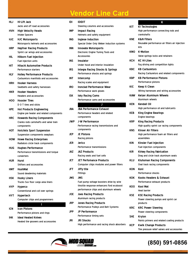| НLJ        | <b>Hi-Lift Jack</b><br>Jacks and off road accessories                       |
|------------|-----------------------------------------------------------------------------|
| HVH        | <b>High Velocity Heads</b>                                                  |
|            | Intake Spacers                                                              |
| HJC        | <b>HJC Motorsports</b>                                                      |
|            | Motorsports helmets and accessories                                         |
| <b>HRP</b> | <b>Hepfner Racing Products</b><br>Sprint car wings and accessories          |
| HIL        | <b>Hilborn Fuel Injection</b><br>Fuel injection units                       |
| HIT        | Hitachi Automotive Products<br><b>Performance starters</b>                  |
| HLY        | <b>Holley Performance Products</b><br>Carburetors manifolds and accessories |
| HRH        | <b>Hooker Harness</b><br>Seatbelts and safety harnesses                     |
| HKR        | <b>Hooker Headers</b>                                                       |
|            | <b>Headers and accessories</b>                                              |
| HOO        | <b>Hoosier Tires</b>                                                        |
|            | D O T tires and slicks                                                      |
| <b>HPE</b> | <b>Hot Products Engineering</b>                                             |
|            | Engine pre heater and related components                                    |
| <b>HRC</b> | <b>Howards Racing Components</b>                                            |
|            | Cranks rods camshafts and valve train                                       |
|            | components                                                                  |
| нот        | <b>Hotchkis Sport Suspension</b><br>Suspension components swaybars          |
| HOW        | <b>Howe Racing Enterprises</b>                                              |
|            | Radiators circle track components                                           |
| HUG        | <b>Hughes Performance</b>                                                   |
|            | Performance transmissions and torque                                        |
|            | converters                                                                  |
| HUR        | Hurst                                                                       |
|            | Shifters and accessories                                                    |
| НМТ        | HushMat                                                                     |
|            | Sound deadening materials                                                   |
| <b>HSK</b> | <b>Husky Liners</b>                                                         |
|            | Trucks Suv floor cargo area liners                                          |
| <b>HYP</b> | <b>Hyperco</b><br>Conventional and coil over springs                        |
| HYT        | Hypertech                                                                   |
|            | Computer chips and programmers                                              |
|            | ı                                                                           |
| <b>ICN</b> | <b>Icon Pistons</b>                                                         |
|            | Performance pistons and rings                                               |
| ihk        | Ideal Heated Knives                                                         |
|            | Heated tire groovers and accessories                                        |
|            |                                                                             |

| IDI | <b>IDIDIT</b><br>Steering columns and accessories                                                                                     |
|-----|---------------------------------------------------------------------------------------------------------------------------------------|
| IMP | <b>Impact Racing</b>                                                                                                                  |
| ING | Helmets and safety equipment<br>Inglese Induction                                                                                     |
| INN | Special Order Only Weber induction systems<br><b>Innovate Motorsports</b><br>Electronic Engine Tuning Tools and                       |
| INS | <b>Accessories</b><br>Insulator                                                                                                       |
| IRS | Under hood and interior insulation<br>Integra Racing Shocks & Springs                                                                 |
| INT | Performance shocks and springs<br>Intercomp                                                                                           |
| IRO | Racing scales and equipment<br>Ironclad Performance Wear                                                                              |
| ISK | Performance work gloves<br>Isky Racing Cams                                                                                           |
|     | Performance cams and accessories<br>J                                                                                                 |
| JBA | <b>JBA Performance Exhaust</b><br>Performance headers and related<br>components                                                       |
| JWP | J-W Performance<br>Performance racing transmissions and<br>components                                                                 |
| JEP | <b>JE Pistons</b><br>Racing pistons                                                                                                   |
| JER | Jerico<br>Performance transmissions                                                                                                   |
| JAZ | <b>JAZ Products</b><br>Racing seats and fuel cells                                                                                    |
| JET | <b>JET Perfomance Products</b><br>Computer chips modules and power filters                                                            |
| JFT | Jiffy-tite<br><b>Fittings</b>                                                                                                         |
| JMS | JMS<br>Fuel pump voltage boosters drive by wire<br>throttle response enhancers Ford ecoboost<br>performance chips and aluminum wheels |
| JOE | <b>Joes Racing Products</b><br>Aluminum racing products                                                                               |
| JRP | <b>Jones Racing Products</b><br>Performance Pulleys and Belt Systems                                                                  |
| JPP | <b>JP Performance</b><br>Performance timing sets                                                                                      |
| jri | <b>JRI Shocks</b><br>High performance and racing shock absorbers                                                                      |
|     |                                                                                                                                       |

|            | K                                              |
|------------|------------------------------------------------|
| K1T        | <b>K1 Technologies</b>                         |
|            | High performance connecting rods and           |
|            | crankshafts                                    |
| <b>KNE</b> | K&N Filters                                    |
|            | Reusable performance air filters air injection |
|            | kits                                           |
| <b>KMO</b> | <b>K-Motion</b>                                |
|            | Valve springs locks and retainers              |
| ксн        | <b>KC Hi-Lites</b>                             |
|            | Fog driving and competition lights             |
| KBC        | <b>KB Carburetors</b>                          |
|            | Racing Carburetors and related components      |
| <b>KBP</b> | <b>KB Performance Pistons</b>                  |
|            | Performance pistons                            |
| KIC        | Keep It Clean                                  |
|            | Wiring harnesses and wiring accessories        |
| <b>KAW</b> | <b>Keizer Aluminum Wheels</b>                  |
|            | Aluminum wheels                                |
|            |                                                |
| KEN        | Kendall Oil                                    |
|            | High performance oil and lubricants            |
| <b>KEB</b> | <b>King Engine Bearings</b>                    |
|            | <b>Engine bearings</b>                         |
| <b>KRP</b> | <b>King Racing Products</b>                    |
|            | High quality sprint car racing components      |
| <b>KNS</b> | Kinser Air Filters                             |
|            | High performance foam air filters and          |
|            | assemblies                                     |
| <b>KIN</b> | Kinsler Fuel Injection                         |
|            | Fuel injection components                      |
| <b>KIR</b> | <b>Kirkey Racing Fabrication</b>               |
|            | Drag and circle track aluminum seats           |
| KLU        | <b>Kluhsman Racing Components</b>              |
|            | Oval track racing components                   |
| <b>KON</b> | Koni                                           |
|            | Performance shocks                             |
| κοκ        | Kooks Headers & Exhaust                        |
|            | Performance exhaust products                   |
| KOO        | Kool Mat                                       |
|            | <b>Heat barrier</b>                            |
| KSE        | <b>KSE Racing Products</b>                     |
|            | Power steering pumps and sprint car            |
|            | products                                       |
| <b>KRC</b> | <b>KRC Power Steering</b>                      |
|            | Power steering components                      |
| SHE        | <b>Krylon</b>                                  |
|            | Paints primers and related coating products    |
| <b>KCP</b> | <b>Kwik Change Products</b>                    |
|            | Tire pressure relief valves and accessories    |
|            |                                                |

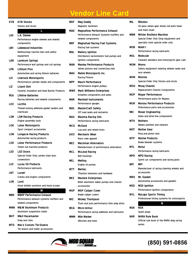| L<br>MAG<br>L.A. Sleeve<br>LAS<br>Performance engine sleeves and related<br>components<br><b>Lakewood Industries</b><br>LWI<br>MAL<br>Bellhousings traction bars and safety<br>equipment<br>LAN<br><b>Landrum Springs</b><br>Performance leaf springs and coil springs<br><b>Lithium Pros</b><br>LPB.<br><b>MAH</b><br>Automotive and racing lithium batteries<br>LIV<br><b>Livernois Motorsports</b><br>Performance cylinder heads and components<br><b>Lizard Skin</b><br>LIZ<br><b>Ceramic Insulation and Heat Barrier Products</b><br>MWI<br><b>REA</b><br><b>Lifeline Batteries</b><br>Racing batteries and related components<br><b>LOC</b><br>Loctite<br>Thread locking adhesive gasket sealers and<br>MAS<br>chemicals<br>LSM<br><b>LSM Racing Products</b><br>MAX<br>Engine assembly tools<br><b>LOK</b><br><b>Lokar Motorsports</b><br>MCG<br>Sport compact accessories<br>LON<br><b>Longacre Racing Products</b><br>AXO<br>Automotive racing products<br><b>LOK</b><br><b>Lokar Performance Products</b><br>MEC<br>Street rod machine products<br><b>LSD</b><br><b>LSD Doors</b><br>MCL<br>Special Order Only Lambo style door<br>conversions<br><b>MEL</b><br>LUC<br><b>Lucas Oil Products</b><br><b>Performance lubricants</b><br>MTT<br>LNT<br>Lunati<br>Cranks and engine components<br>MEZ<br>LUN<br>Lund<br>Hood shields sunvisors and hood scoops<br>Μ<br><b>MBRP Performance Exhaust</b><br><b>MBR</b><br>Performance exhaust systems mufflers and<br><b>MIC</b><br>related components<br><b>M&amp;W Aluminum Products</b><br>MWA<br>MCA<br>Aluminum suspension tubes<br>MHT<br>M&H Racemaster<br>MMN<br>Drag race tires<br><b>MTD</b><br><b>Mac's Custom Tie-Downs</b><br>Tie downs and trailer accessories | KYB | <b>KYB Shocks</b><br><b>Shocks and struts</b> | MDF        |
|---------------------------------------------------------------------------------------------------------------------------------------------------------------------------------------------------------------------------------------------------------------------------------------------------------------------------------------------------------------------------------------------------------------------------------------------------------------------------------------------------------------------------------------------------------------------------------------------------------------------------------------------------------------------------------------------------------------------------------------------------------------------------------------------------------------------------------------------------------------------------------------------------------------------------------------------------------------------------------------------------------------------------------------------------------------------------------------------------------------------------------------------------------------------------------------------------------------------------------------------------------------------------------------------------------------------------------------------------------------------------------------------------------------------------------------------------------------------------------------------------------------------------------------------------------------------------------------------------------------------------------------------------------------------------------------------------------------------------------|-----|-----------------------------------------------|------------|
|                                                                                                                                                                                                                                                                                                                                                                                                                                                                                                                                                                                                                                                                                                                                                                                                                                                                                                                                                                                                                                                                                                                                                                                                                                                                                                                                                                                                                                                                                                                                                                                                                                                                                                                                 |     |                                               |            |
|                                                                                                                                                                                                                                                                                                                                                                                                                                                                                                                                                                                                                                                                                                                                                                                                                                                                                                                                                                                                                                                                                                                                                                                                                                                                                                                                                                                                                                                                                                                                                                                                                                                                                                                                 |     |                                               |            |
|                                                                                                                                                                                                                                                                                                                                                                                                                                                                                                                                                                                                                                                                                                                                                                                                                                                                                                                                                                                                                                                                                                                                                                                                                                                                                                                                                                                                                                                                                                                                                                                                                                                                                                                                 |     |                                               |            |
|                                                                                                                                                                                                                                                                                                                                                                                                                                                                                                                                                                                                                                                                                                                                                                                                                                                                                                                                                                                                                                                                                                                                                                                                                                                                                                                                                                                                                                                                                                                                                                                                                                                                                                                                 |     |                                               | MRF        |
|                                                                                                                                                                                                                                                                                                                                                                                                                                                                                                                                                                                                                                                                                                                                                                                                                                                                                                                                                                                                                                                                                                                                                                                                                                                                                                                                                                                                                                                                                                                                                                                                                                                                                                                                 |     |                                               |            |
|                                                                                                                                                                                                                                                                                                                                                                                                                                                                                                                                                                                                                                                                                                                                                                                                                                                                                                                                                                                                                                                                                                                                                                                                                                                                                                                                                                                                                                                                                                                                                                                                                                                                                                                                 |     |                                               |            |
|                                                                                                                                                                                                                                                                                                                                                                                                                                                                                                                                                                                                                                                                                                                                                                                                                                                                                                                                                                                                                                                                                                                                                                                                                                                                                                                                                                                                                                                                                                                                                                                                                                                                                                                                 |     |                                               |            |
|                                                                                                                                                                                                                                                                                                                                                                                                                                                                                                                                                                                                                                                                                                                                                                                                                                                                                                                                                                                                                                                                                                                                                                                                                                                                                                                                                                                                                                                                                                                                                                                                                                                                                                                                 |     |                                               |            |
|                                                                                                                                                                                                                                                                                                                                                                                                                                                                                                                                                                                                                                                                                                                                                                                                                                                                                                                                                                                                                                                                                                                                                                                                                                                                                                                                                                                                                                                                                                                                                                                                                                                                                                                                 |     |                                               | MAN        |
|                                                                                                                                                                                                                                                                                                                                                                                                                                                                                                                                                                                                                                                                                                                                                                                                                                                                                                                                                                                                                                                                                                                                                                                                                                                                                                                                                                                                                                                                                                                                                                                                                                                                                                                                 |     |                                               |            |
|                                                                                                                                                                                                                                                                                                                                                                                                                                                                                                                                                                                                                                                                                                                                                                                                                                                                                                                                                                                                                                                                                                                                                                                                                                                                                                                                                                                                                                                                                                                                                                                                                                                                                                                                 |     |                                               |            |
|                                                                                                                                                                                                                                                                                                                                                                                                                                                                                                                                                                                                                                                                                                                                                                                                                                                                                                                                                                                                                                                                                                                                                                                                                                                                                                                                                                                                                                                                                                                                                                                                                                                                                                                                 |     |                                               |            |
|                                                                                                                                                                                                                                                                                                                                                                                                                                                                                                                                                                                                                                                                                                                                                                                                                                                                                                                                                                                                                                                                                                                                                                                                                                                                                                                                                                                                                                                                                                                                                                                                                                                                                                                                 |     |                                               | <b>MPP</b> |
|                                                                                                                                                                                                                                                                                                                                                                                                                                                                                                                                                                                                                                                                                                                                                                                                                                                                                                                                                                                                                                                                                                                                                                                                                                                                                                                                                                                                                                                                                                                                                                                                                                                                                                                                 |     |                                               |            |
|                                                                                                                                                                                                                                                                                                                                                                                                                                                                                                                                                                                                                                                                                                                                                                                                                                                                                                                                                                                                                                                                                                                                                                                                                                                                                                                                                                                                                                                                                                                                                                                                                                                                                                                                 |     |                                               |            |
|                                                                                                                                                                                                                                                                                                                                                                                                                                                                                                                                                                                                                                                                                                                                                                                                                                                                                                                                                                                                                                                                                                                                                                                                                                                                                                                                                                                                                                                                                                                                                                                                                                                                                                                                 |     |                                               |            |
|                                                                                                                                                                                                                                                                                                                                                                                                                                                                                                                                                                                                                                                                                                                                                                                                                                                                                                                                                                                                                                                                                                                                                                                                                                                                                                                                                                                                                                                                                                                                                                                                                                                                                                                                 |     |                                               | MAR        |
|                                                                                                                                                                                                                                                                                                                                                                                                                                                                                                                                                                                                                                                                                                                                                                                                                                                                                                                                                                                                                                                                                                                                                                                                                                                                                                                                                                                                                                                                                                                                                                                                                                                                                                                                 |     |                                               |            |
|                                                                                                                                                                                                                                                                                                                                                                                                                                                                                                                                                                                                                                                                                                                                                                                                                                                                                                                                                                                                                                                                                                                                                                                                                                                                                                                                                                                                                                                                                                                                                                                                                                                                                                                                 |     |                                               |            |
|                                                                                                                                                                                                                                                                                                                                                                                                                                                                                                                                                                                                                                                                                                                                                                                                                                                                                                                                                                                                                                                                                                                                                                                                                                                                                                                                                                                                                                                                                                                                                                                                                                                                                                                                 |     |                                               |            |
|                                                                                                                                                                                                                                                                                                                                                                                                                                                                                                                                                                                                                                                                                                                                                                                                                                                                                                                                                                                                                                                                                                                                                                                                                                                                                                                                                                                                                                                                                                                                                                                                                                                                                                                                 |     |                                               |            |
|                                                                                                                                                                                                                                                                                                                                                                                                                                                                                                                                                                                                                                                                                                                                                                                                                                                                                                                                                                                                                                                                                                                                                                                                                                                                                                                                                                                                                                                                                                                                                                                                                                                                                                                                 |     |                                               |            |
|                                                                                                                                                                                                                                                                                                                                                                                                                                                                                                                                                                                                                                                                                                                                                                                                                                                                                                                                                                                                                                                                                                                                                                                                                                                                                                                                                                                                                                                                                                                                                                                                                                                                                                                                 |     |                                               |            |
|                                                                                                                                                                                                                                                                                                                                                                                                                                                                                                                                                                                                                                                                                                                                                                                                                                                                                                                                                                                                                                                                                                                                                                                                                                                                                                                                                                                                                                                                                                                                                                                                                                                                                                                                 |     |                                               |            |
|                                                                                                                                                                                                                                                                                                                                                                                                                                                                                                                                                                                                                                                                                                                                                                                                                                                                                                                                                                                                                                                                                                                                                                                                                                                                                                                                                                                                                                                                                                                                                                                                                                                                                                                                 |     |                                               |            |
|                                                                                                                                                                                                                                                                                                                                                                                                                                                                                                                                                                                                                                                                                                                                                                                                                                                                                                                                                                                                                                                                                                                                                                                                                                                                                                                                                                                                                                                                                                                                                                                                                                                                                                                                 |     |                                               |            |
|                                                                                                                                                                                                                                                                                                                                                                                                                                                                                                                                                                                                                                                                                                                                                                                                                                                                                                                                                                                                                                                                                                                                                                                                                                                                                                                                                                                                                                                                                                                                                                                                                                                                                                                                 |     |                                               |            |
|                                                                                                                                                                                                                                                                                                                                                                                                                                                                                                                                                                                                                                                                                                                                                                                                                                                                                                                                                                                                                                                                                                                                                                                                                                                                                                                                                                                                                                                                                                                                                                                                                                                                                                                                 |     |                                               |            |
|                                                                                                                                                                                                                                                                                                                                                                                                                                                                                                                                                                                                                                                                                                                                                                                                                                                                                                                                                                                                                                                                                                                                                                                                                                                                                                                                                                                                                                                                                                                                                                                                                                                                                                                                 |     |                                               |            |
|                                                                                                                                                                                                                                                                                                                                                                                                                                                                                                                                                                                                                                                                                                                                                                                                                                                                                                                                                                                                                                                                                                                                                                                                                                                                                                                                                                                                                                                                                                                                                                                                                                                                                                                                 |     |                                               |            |
|                                                                                                                                                                                                                                                                                                                                                                                                                                                                                                                                                                                                                                                                                                                                                                                                                                                                                                                                                                                                                                                                                                                                                                                                                                                                                                                                                                                                                                                                                                                                                                                                                                                                                                                                 |     |                                               |            |
|                                                                                                                                                                                                                                                                                                                                                                                                                                                                                                                                                                                                                                                                                                                                                                                                                                                                                                                                                                                                                                                                                                                                                                                                                                                                                                                                                                                                                                                                                                                                                                                                                                                                                                                                 |     |                                               |            |
|                                                                                                                                                                                                                                                                                                                                                                                                                                                                                                                                                                                                                                                                                                                                                                                                                                                                                                                                                                                                                                                                                                                                                                                                                                                                                                                                                                                                                                                                                                                                                                                                                                                                                                                                 |     |                                               |            |
|                                                                                                                                                                                                                                                                                                                                                                                                                                                                                                                                                                                                                                                                                                                                                                                                                                                                                                                                                                                                                                                                                                                                                                                                                                                                                                                                                                                                                                                                                                                                                                                                                                                                                                                                 |     |                                               |            |
|                                                                                                                                                                                                                                                                                                                                                                                                                                                                                                                                                                                                                                                                                                                                                                                                                                                                                                                                                                                                                                                                                                                                                                                                                                                                                                                                                                                                                                                                                                                                                                                                                                                                                                                                 |     |                                               |            |
|                                                                                                                                                                                                                                                                                                                                                                                                                                                                                                                                                                                                                                                                                                                                                                                                                                                                                                                                                                                                                                                                                                                                                                                                                                                                                                                                                                                                                                                                                                                                                                                                                                                                                                                                 |     |                                               |            |
|                                                                                                                                                                                                                                                                                                                                                                                                                                                                                                                                                                                                                                                                                                                                                                                                                                                                                                                                                                                                                                                                                                                                                                                                                                                                                                                                                                                                                                                                                                                                                                                                                                                                                                                                 |     |                                               | <b>MGP</b> |
|                                                                                                                                                                                                                                                                                                                                                                                                                                                                                                                                                                                                                                                                                                                                                                                                                                                                                                                                                                                                                                                                                                                                                                                                                                                                                                                                                                                                                                                                                                                                                                                                                                                                                                                                 |     |                                               |            |
|                                                                                                                                                                                                                                                                                                                                                                                                                                                                                                                                                                                                                                                                                                                                                                                                                                                                                                                                                                                                                                                                                                                                                                                                                                                                                                                                                                                                                                                                                                                                                                                                                                                                                                                                 |     |                                               |            |
|                                                                                                                                                                                                                                                                                                                                                                                                                                                                                                                                                                                                                                                                                                                                                                                                                                                                                                                                                                                                                                                                                                                                                                                                                                                                                                                                                                                                                                                                                                                                                                                                                                                                                                                                 |     |                                               |            |
|                                                                                                                                                                                                                                                                                                                                                                                                                                                                                                                                                                                                                                                                                                                                                                                                                                                                                                                                                                                                                                                                                                                                                                                                                                                                                                                                                                                                                                                                                                                                                                                                                                                                                                                                 |     |                                               |            |
|                                                                                                                                                                                                                                                                                                                                                                                                                                                                                                                                                                                                                                                                                                                                                                                                                                                                                                                                                                                                                                                                                                                                                                                                                                                                                                                                                                                                                                                                                                                                                                                                                                                                                                                                 |     |                                               |            |
|                                                                                                                                                                                                                                                                                                                                                                                                                                                                                                                                                                                                                                                                                                                                                                                                                                                                                                                                                                                                                                                                                                                                                                                                                                                                                                                                                                                                                                                                                                                                                                                                                                                                                                                                 |     |                                               |            |
|                                                                                                                                                                                                                                                                                                                                                                                                                                                                                                                                                                                                                                                                                                                                                                                                                                                                                                                                                                                                                                                                                                                                                                                                                                                                                                                                                                                                                                                                                                                                                                                                                                                                                                                                 |     |                                               |            |
|                                                                                                                                                                                                                                                                                                                                                                                                                                                                                                                                                                                                                                                                                                                                                                                                                                                                                                                                                                                                                                                                                                                                                                                                                                                                                                                                                                                                                                                                                                                                                                                                                                                                                                                                 |     |                                               |            |
|                                                                                                                                                                                                                                                                                                                                                                                                                                                                                                                                                                                                                                                                                                                                                                                                                                                                                                                                                                                                                                                                                                                                                                                                                                                                                                                                                                                                                                                                                                                                                                                                                                                                                                                                 |     |                                               |            |

| MDF        | <b>Mag Daddy</b><br><b>Magnetic fasteners</b>                                                          |
|------------|--------------------------------------------------------------------------------------------------------|
| MAG        | <b>Magnaflow Performance Exhaust</b><br>Performance exhaust Systems mufflers and<br>related components |
| <b>MRF</b> | <b>Magnafuel Racing Fuel Systems</b><br>Racing fuel systems                                            |
| <b>MAL</b> | <b>Mallory Ignition</b><br>Distributors tachometers fuel pumps and<br>ignition components              |
| MAN        | <b>Manley Performance Products</b><br>Valves pistons and connecting rods                               |
| MAH        | <b>Mahle Motorsports Inc.</b><br><b>Racing Pistons</b>                                                 |
| MPP        | March Performance<br>Performance engine pulleys                                                        |
| <b>MWE</b> | <b>Mark Williams Enterprises</b><br>Driveline components and axles                                     |
| <b>MAR</b> | <b>Marshall Instruments</b><br>Performance gauges                                                      |
| <b>MAS</b> | <b>MasterCraft Safety</b><br>Off road seats and restraints                                             |
| MAX        | <b>Maxima Racing Oils</b><br>Performance racing lubricants                                             |
| MCG        | <b>McGard</b><br>Lug nuts and wheel locks                                                              |
| AXO        | <b>Mechanix Wear</b><br>Race crew apparel                                                              |
| MEC        | <b>Mechman Alternators</b><br>Manufacturers of performance alternators                                 |
| <b>MCL</b> | <b>McLeod Racing</b><br><b>Bell housings</b>                                                           |
| <b>MEL</b> | Melling<br>Engine oil pumps                                                                            |
| <b>MTT</b> | <b>Mettec</b><br>Titanium fasteners and hardware                                                       |
| <b>MEZ</b> | <b>Meziere Enterprises</b><br>Billet aluminum water pumps and chassis<br>accessories                   |
| <b>MGP</b> | <b>MGP Caliper Cover</b><br>Brake caliper covers                                                       |
| <b>MIC</b> | <b>Mickey Thompson</b><br>Truck and auto performance tires drag slicks                                 |
| MCA        | Micro-Armor<br>Performance racing additives and lubricants                                             |
| МММ        | Mile Marker<br>Winches and hubs                                                                        |
|            |                                                                                                        |

| MIL        | Milodon                                           |
|------------|---------------------------------------------------|
|            | Oil pans valves gear drives rod bolts head        |
| МВМ        | and main studs<br><b>Mittler Brothers Machine</b> |
|            | Special Order Only Shop equipment and             |
|            | specialty tools special order only                |
| <b>MOB</b> | Mobil 1                                           |
|            | Performance racing lubricants                     |
| MOL        | Molecule                                          |
|            | Cleaners detailers and motorsports gear care      |
| MOM        | Momo                                              |
|            | Safety equipment steering wheels seats and        |
| MON        | race wheels                                       |
|            | Monroe<br>Special Order Only Shocks and struts    |
| MOG        | <b>Moog Chassis</b>                               |
|            | <b>Replacement Chassis Components</b>             |
| MOP        | <b>Mopar Performance</b>                          |
|            | Performance parts for Mopars                      |
| <b>MOR</b> | <b>Moroso Performance Products</b>                |
|            | Peformance parts and accessories                  |
| MEI        | <b>Moser Engineering</b>                          |
|            | Axles and drive line components                   |
| МТН        | Mothers                                           |
|            | Waxes polishes and cleaners                       |
| МОТ        | <b>Motive Gear</b><br>Ring and pinion sets        |
| MTP .      | <b>Motive Products</b>                            |
|            | Brake bleeder systems                             |
| MTL        | Motul                                             |
|            | Performance racing lubricants                     |
| <b>MPD</b> | <b>MPD Racing</b>                                 |
|            | Sprint car components and racing jacks            |
| MPI        | MPI                                               |
|            | Manufacturer of racing steering wheels and        |
|            | accessories                                       |
| <b>MRG</b> | Mr. Gasket<br>Automotive accessories and gaskets  |
| <b>MSD</b> | <b>MSD</b> Ignition                               |
|            | Performance ignition components                   |
| <b>MYL</b> | <b>MyLaps Sports Timing</b>                       |
|            | Professional timing systems for motorsports       |
|            | N                                                 |
| NGK        | NGK                                               |
|            | Spark plugs                                       |
| <b>NHR</b> | <b>NHRA Rule Book</b>                             |
|            | Official rule book of the NHRA drag racing        |



### **(850) 591-0856**

series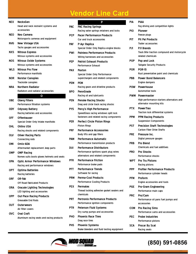| <b>NEX</b> | NecksGen                                                        |
|------------|-----------------------------------------------------------------|
|            | Head and neck restraint systems and<br>accessories              |
| NEO        | Neo Camera                                                      |
|            | Motorsports cameras and equipment                               |
| <b>NVG</b> | <b>New Vintage USA</b>                                          |
|            | Tachs gauges and accessories                                    |
| NXS.       | <b>Nitrous Express</b>                                          |
|            | Nitrous systems and accessories                                 |
| NOS        | <b>Nitrous Oxide Systems</b>                                    |
|            | Nitrous systems and accessories                                 |
| WLS        | Nitrous Pro Flow                                                |
|            | Performance manifolds                                           |
| NOR        | <b>Norstar Canopies</b>                                         |
|            | Trackside canopies                                              |
| NRA        | <b>Northern Radiator</b>                                        |
|            | Radiators and radiator accessories                              |
| <b>OBE</b> | 0                                                               |
|            | <b>Oberg Filters</b><br>Performance filtration systems          |
| ODY.       | <b>Odyssey Battery</b>                                          |
|            | Racing batteries and accessories                                |
| OFF        | Offenhauser                                                     |
|            | Special Order Only Intake manifolds                             |
| OHL.       | <b>Ohlins USA</b>                                               |
|            | Racing shocks and related components                            |
| OLV        | <b>Oliver Racing Parts</b>                                      |
|            | Connecting rods                                                 |
| OMI        | Omix-ADA                                                        |
|            | Aftermarket replacement Jeep parts                              |
| OMP        | <b>OMP Racing</b><br>Nomex suits boots gloves helmets and seats |
| <b>OPA</b> | Optic Armor Performance Windows                                 |
|            | Racing and performance windows                                  |
| OPT        | <b>Optima Batteries</b>                                         |
|            | Racing batteries                                                |
| ORF.       | OR-Fab                                                          |
|            | Off Road Fabricated Products                                    |
| ORA        | <b>Oracale Lighting Technologies</b>                            |
|            | LED lighting and accessories                                    |
| OPP.       | <b>Out-Pace Racing Products</b>                                 |
|            | Greasable End Rods                                              |
| ΟUΤ        | <b>Outerwears</b>                                               |
|            | Air filter covers                                               |
| <b>OVC</b> | <b>Oval Craft</b>                                               |
|            | Aluminum racing seats and racing products                       |
|            |                                                                 |

|            | P                                                                      |
|------------|------------------------------------------------------------------------|
| PAC        | <b>PAC Racing Springs</b>                                              |
|            | Racing valve springs retainers and locks                               |
| PCP        | <b>Pacer Performance Products</b><br>Car and truck accessories         |
| <b>PAY</b> | P-Ayr Replica                                                          |
|            | Special Order Only Replica engine blocks                               |
| PWI        | <b>Painless Performance Products</b>                                   |
|            | Wiring harnesses and accessories                                       |
| PEP        | <b>Patriot Exhaust Products</b>                                        |
|            | <b>Performance Exhaust</b>                                             |
| PAX        | Paxton                                                                 |
|            | Special Order Only Performance<br>superchargers and related components |
| PEM        | <b>PEM</b>                                                             |
|            | Racing gears and driveline products                                    |
| BPO        | PennGrade                                                              |
|            | Racing oil and lubricants                                              |
| PEN        | <b>Penske Racing Shocks</b>                                            |
|            | Drag and circle track racing shocks                                    |
| <b>PYS</b> | Percy's High Performance                                               |
|            | SpeedGlass racing windows split lock                                   |
|            | fasteners and related racing components                                |
| PER        | <b>Perfect Circle Piston Rings</b>                                     |
|            | <b>Piston Rings</b>                                                    |
| <b>PRF</b> | <b>Performance Accessories</b><br>Body lifts and gap fillers           |
| PAM        | Performance Automatic                                                  |
|            | Performance transmission products                                      |
| DUI        | <b>Performance Distributors</b>                                        |
|            | Performance ignitions spark plug wires                                 |
|            | alternators and related components                                     |
| PFR        | <b>Performance Friction</b>                                            |
|            | Peformance brake pads                                                  |
| PFT        | <b>Performance Trends</b>                                              |
|            | Software for racing                                                    |
| <b>PRM</b> | <b>Perma-Cool Products</b>                                             |
|            | <b>Performance Cooling Products</b>                                    |
| <b>PEX</b> | <b>Permatex</b>                                                        |
|            | Thread locking adhesive gasket sealers and<br>chemicals                |
| PRT        | <b>Pertronix Performance Products</b>                                  |
|            | Performance ignition components                                        |
| PTR        | <b>Peterson Fluid Systems</b>                                          |
|            | Dry sump pumps and accessories                                         |
| PHO        | <b>Phoenix Race Tires</b>                                              |
|            | Drag race tires                                                        |

| PIA<br>PIAA<br>Fog driving and competition lights<br><b>Pioneer</b><br><b>PIO</b><br>Freeze plugs<br><b>Pit Pal Products</b><br>PIT<br><b>Trailer accessories</b><br>PJ1<br><b>PJ1 Brands</b><br>related chemicals<br><b>POP</b><br>Pop and Lock<br><b>Tailgate Security Products</b><br><b>POR-15</b><br><b>POR</b><br>Rust preventative paint and chemicals<br><b>Power Bond Balancers</b><br><b>PBB</b><br><b>Engine dampers</b><br><b>POW</b><br>Powerhouse<br><b>Automotive tools</b><br><b>PWM</b> Powermaster<br>High performance starters alternators and<br>alternator mounting kits<br><b>PowerTrax</b><br><b>PTX</b><br>Traction lock differential systems<br><b>PPM</b><br><b>PPM Racing Products</b><br><b>Suspension Components</b><br><b>PST</b><br><b>Precision Shaft Technologies</b><br><b>Carbon Fiber Drive Shafts</b><br>Pressure Inc.<br><b>PRE</b><br>Digital pressure gauges<br>Pro Blend<br><b>PRB</b><br><b>Chemicals and fuel additives</b><br><b>Pro Shocks</b><br><b>PRO</b><br><b>Performance shocks</b><br>Pro Tru Pistons<br><b>WPT</b><br>Racing pistons<br><b>Profiler Performance Products</b><br><b>PPP</b><br>Performance cylinder heads<br>Proform<br>PFM<br>Engine accessories and tools<br><b>PGF</b><br><b>Pro-Gram Engineering</b><br>Performance main caps<br>Pro/Cam<br><b>PRC</b><br>Performance oil pans fuel pumps and<br>accessories<br><b>Pro Racing Sims</b><br>сом<br>Performance cams and accessories |                                             |
|-----------------------------------------------------------------------------------------------------------------------------------------------------------------------------------------------------------------------------------------------------------------------------------------------------------------------------------------------------------------------------------------------------------------------------------------------------------------------------------------------------------------------------------------------------------------------------------------------------------------------------------------------------------------------------------------------------------------------------------------------------------------------------------------------------------------------------------------------------------------------------------------------------------------------------------------------------------------------------------------------------------------------------------------------------------------------------------------------------------------------------------------------------------------------------------------------------------------------------------------------------------------------------------------------------------------------------------------------------------------------------------------------------------------------------------------------------------|---------------------------------------------|
|                                                                                                                                                                                                                                                                                                                                                                                                                                                                                                                                                                                                                                                                                                                                                                                                                                                                                                                                                                                                                                                                                                                                                                                                                                                                                                                                                                                                                                                           |                                             |
|                                                                                                                                                                                                                                                                                                                                                                                                                                                                                                                                                                                                                                                                                                                                                                                                                                                                                                                                                                                                                                                                                                                                                                                                                                                                                                                                                                                                                                                           |                                             |
|                                                                                                                                                                                                                                                                                                                                                                                                                                                                                                                                                                                                                                                                                                                                                                                                                                                                                                                                                                                                                                                                                                                                                                                                                                                                                                                                                                                                                                                           |                                             |
|                                                                                                                                                                                                                                                                                                                                                                                                                                                                                                                                                                                                                                                                                                                                                                                                                                                                                                                                                                                                                                                                                                                                                                                                                                                                                                                                                                                                                                                           |                                             |
|                                                                                                                                                                                                                                                                                                                                                                                                                                                                                                                                                                                                                                                                                                                                                                                                                                                                                                                                                                                                                                                                                                                                                                                                                                                                                                                                                                                                                                                           |                                             |
|                                                                                                                                                                                                                                                                                                                                                                                                                                                                                                                                                                                                                                                                                                                                                                                                                                                                                                                                                                                                                                                                                                                                                                                                                                                                                                                                                                                                                                                           |                                             |
|                                                                                                                                                                                                                                                                                                                                                                                                                                                                                                                                                                                                                                                                                                                                                                                                                                                                                                                                                                                                                                                                                                                                                                                                                                                                                                                                                                                                                                                           |                                             |
|                                                                                                                                                                                                                                                                                                                                                                                                                                                                                                                                                                                                                                                                                                                                                                                                                                                                                                                                                                                                                                                                                                                                                                                                                                                                                                                                                                                                                                                           | Track Bite traction compound and motorcycle |
|                                                                                                                                                                                                                                                                                                                                                                                                                                                                                                                                                                                                                                                                                                                                                                                                                                                                                                                                                                                                                                                                                                                                                                                                                                                                                                                                                                                                                                                           |                                             |
|                                                                                                                                                                                                                                                                                                                                                                                                                                                                                                                                                                                                                                                                                                                                                                                                                                                                                                                                                                                                                                                                                                                                                                                                                                                                                                                                                                                                                                                           |                                             |
|                                                                                                                                                                                                                                                                                                                                                                                                                                                                                                                                                                                                                                                                                                                                                                                                                                                                                                                                                                                                                                                                                                                                                                                                                                                                                                                                                                                                                                                           |                                             |
|                                                                                                                                                                                                                                                                                                                                                                                                                                                                                                                                                                                                                                                                                                                                                                                                                                                                                                                                                                                                                                                                                                                                                                                                                                                                                                                                                                                                                                                           |                                             |
|                                                                                                                                                                                                                                                                                                                                                                                                                                                                                                                                                                                                                                                                                                                                                                                                                                                                                                                                                                                                                                                                                                                                                                                                                                                                                                                                                                                                                                                           |                                             |
|                                                                                                                                                                                                                                                                                                                                                                                                                                                                                                                                                                                                                                                                                                                                                                                                                                                                                                                                                                                                                                                                                                                                                                                                                                                                                                                                                                                                                                                           |                                             |
|                                                                                                                                                                                                                                                                                                                                                                                                                                                                                                                                                                                                                                                                                                                                                                                                                                                                                                                                                                                                                                                                                                                                                                                                                                                                                                                                                                                                                                                           |                                             |
|                                                                                                                                                                                                                                                                                                                                                                                                                                                                                                                                                                                                                                                                                                                                                                                                                                                                                                                                                                                                                                                                                                                                                                                                                                                                                                                                                                                                                                                           |                                             |
|                                                                                                                                                                                                                                                                                                                                                                                                                                                                                                                                                                                                                                                                                                                                                                                                                                                                                                                                                                                                                                                                                                                                                                                                                                                                                                                                                                                                                                                           |                                             |
|                                                                                                                                                                                                                                                                                                                                                                                                                                                                                                                                                                                                                                                                                                                                                                                                                                                                                                                                                                                                                                                                                                                                                                                                                                                                                                                                                                                                                                                           |                                             |
|                                                                                                                                                                                                                                                                                                                                                                                                                                                                                                                                                                                                                                                                                                                                                                                                                                                                                                                                                                                                                                                                                                                                                                                                                                                                                                                                                                                                                                                           |                                             |
|                                                                                                                                                                                                                                                                                                                                                                                                                                                                                                                                                                                                                                                                                                                                                                                                                                                                                                                                                                                                                                                                                                                                                                                                                                                                                                                                                                                                                                                           |                                             |
|                                                                                                                                                                                                                                                                                                                                                                                                                                                                                                                                                                                                                                                                                                                                                                                                                                                                                                                                                                                                                                                                                                                                                                                                                                                                                                                                                                                                                                                           |                                             |
|                                                                                                                                                                                                                                                                                                                                                                                                                                                                                                                                                                                                                                                                                                                                                                                                                                                                                                                                                                                                                                                                                                                                                                                                                                                                                                                                                                                                                                                           |                                             |
|                                                                                                                                                                                                                                                                                                                                                                                                                                                                                                                                                                                                                                                                                                                                                                                                                                                                                                                                                                                                                                                                                                                                                                                                                                                                                                                                                                                                                                                           |                                             |
|                                                                                                                                                                                                                                                                                                                                                                                                                                                                                                                                                                                                                                                                                                                                                                                                                                                                                                                                                                                                                                                                                                                                                                                                                                                                                                                                                                                                                                                           |                                             |
|                                                                                                                                                                                                                                                                                                                                                                                                                                                                                                                                                                                                                                                                                                                                                                                                                                                                                                                                                                                                                                                                                                                                                                                                                                                                                                                                                                                                                                                           |                                             |
|                                                                                                                                                                                                                                                                                                                                                                                                                                                                                                                                                                                                                                                                                                                                                                                                                                                                                                                                                                                                                                                                                                                                                                                                                                                                                                                                                                                                                                                           |                                             |
|                                                                                                                                                                                                                                                                                                                                                                                                                                                                                                                                                                                                                                                                                                                                                                                                                                                                                                                                                                                                                                                                                                                                                                                                                                                                                                                                                                                                                                                           |                                             |
|                                                                                                                                                                                                                                                                                                                                                                                                                                                                                                                                                                                                                                                                                                                                                                                                                                                                                                                                                                                                                                                                                                                                                                                                                                                                                                                                                                                                                                                           |                                             |
|                                                                                                                                                                                                                                                                                                                                                                                                                                                                                                                                                                                                                                                                                                                                                                                                                                                                                                                                                                                                                                                                                                                                                                                                                                                                                                                                                                                                                                                           |                                             |
|                                                                                                                                                                                                                                                                                                                                                                                                                                                                                                                                                                                                                                                                                                                                                                                                                                                                                                                                                                                                                                                                                                                                                                                                                                                                                                                                                                                                                                                           |                                             |
|                                                                                                                                                                                                                                                                                                                                                                                                                                                                                                                                                                                                                                                                                                                                                                                                                                                                                                                                                                                                                                                                                                                                                                                                                                                                                                                                                                                                                                                           |                                             |
|                                                                                                                                                                                                                                                                                                                                                                                                                                                                                                                                                                                                                                                                                                                                                                                                                                                                                                                                                                                                                                                                                                                                                                                                                                                                                                                                                                                                                                                           |                                             |
|                                                                                                                                                                                                                                                                                                                                                                                                                                                                                                                                                                                                                                                                                                                                                                                                                                                                                                                                                                                                                                                                                                                                                                                                                                                                                                                                                                                                                                                           |                                             |
|                                                                                                                                                                                                                                                                                                                                                                                                                                                                                                                                                                                                                                                                                                                                                                                                                                                                                                                                                                                                                                                                                                                                                                                                                                                                                                                                                                                                                                                           |                                             |
|                                                                                                                                                                                                                                                                                                                                                                                                                                                                                                                                                                                                                                                                                                                                                                                                                                                                                                                                                                                                                                                                                                                                                                                                                                                                                                                                                                                                                                                           |                                             |
|                                                                                                                                                                                                                                                                                                                                                                                                                                                                                                                                                                                                                                                                                                                                                                                                                                                                                                                                                                                                                                                                                                                                                                                                                                                                                                                                                                                                                                                           |                                             |
|                                                                                                                                                                                                                                                                                                                                                                                                                                                                                                                                                                                                                                                                                                                                                                                                                                                                                                                                                                                                                                                                                                                                                                                                                                                                                                                                                                                                                                                           |                                             |
|                                                                                                                                                                                                                                                                                                                                                                                                                                                                                                                                                                                                                                                                                                                                                                                                                                                                                                                                                                                                                                                                                                                                                                                                                                                                                                                                                                                                                                                           |                                             |
|                                                                                                                                                                                                                                                                                                                                                                                                                                                                                                                                                                                                                                                                                                                                                                                                                                                                                                                                                                                                                                                                                                                                                                                                                                                                                                                                                                                                                                                           |                                             |
|                                                                                                                                                                                                                                                                                                                                                                                                                                                                                                                                                                                                                                                                                                                                                                                                                                                                                                                                                                                                                                                                                                                                                                                                                                                                                                                                                                                                                                                           |                                             |
|                                                                                                                                                                                                                                                                                                                                                                                                                                                                                                                                                                                                                                                                                                                                                                                                                                                                                                                                                                                                                                                                                                                                                                                                                                                                                                                                                                                                                                                           |                                             |
|                                                                                                                                                                                                                                                                                                                                                                                                                                                                                                                                                                                                                                                                                                                                                                                                                                                                                                                                                                                                                                                                                                                                                                                                                                                                                                                                                                                                                                                           |                                             |
|                                                                                                                                                                                                                                                                                                                                                                                                                                                                                                                                                                                                                                                                                                                                                                                                                                                                                                                                                                                                                                                                                                                                                                                                                                                                                                                                                                                                                                                           |                                             |
|                                                                                                                                                                                                                                                                                                                                                                                                                                                                                                                                                                                                                                                                                                                                                                                                                                                                                                                                                                                                                                                                                                                                                                                                                                                                                                                                                                                                                                                           |                                             |
|                                                                                                                                                                                                                                                                                                                                                                                                                                                                                                                                                                                                                                                                                                                                                                                                                                                                                                                                                                                                                                                                                                                                                                                                                                                                                                                                                                                                                                                           |                                             |
|                                                                                                                                                                                                                                                                                                                                                                                                                                                                                                                                                                                                                                                                                                                                                                                                                                                                                                                                                                                                                                                                                                                                                                                                                                                                                                                                                                                                                                                           |                                             |
| <b>Probe Industries</b><br>PEC                                                                                                                                                                                                                                                                                                                                                                                                                                                                                                                                                                                                                                                                                                                                                                                                                                                                                                                                                                                                                                                                                                                                                                                                                                                                                                                                                                                                                            |                                             |
| Performance pistons                                                                                                                                                                                                                                                                                                                                                                                                                                                                                                                                                                                                                                                                                                                                                                                                                                                                                                                                                                                                                                                                                                                                                                                                                                                                                                                                                                                                                                       |                                             |
| SCA<br>Procar By Scat                                                                                                                                                                                                                                                                                                                                                                                                                                                                                                                                                                                                                                                                                                                                                                                                                                                                                                                                                                                                                                                                                                                                                                                                                                                                                                                                                                                                                                     |                                             |
| Racing seats                                                                                                                                                                                                                                                                                                                                                                                                                                                                                                                                                                                                                                                                                                                                                                                                                                                                                                                                                                                                                                                                                                                                                                                                                                                                                                                                                                                                                                              |                                             |

**(850) 591-0856**



**PHS Phoenix Systems**

Brake bleeders and fluid testing equipment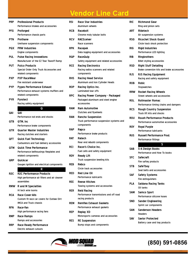| PRP              | <b>Professional Products</b>                                     |
|------------------|------------------------------------------------------------------|
|                  | Performance intakes and accessories                              |
| PFG              | Proforged                                                        |
|                  | Performance chassis parts                                        |
| <b>PTN</b>       | Prothane                                                         |
|                  | Urethane suspension components                                   |
| <b>PQX</b>       | <b>PRW Industries</b>                                            |
|                  | Engine components                                                |
| PUL              | <b>Pulse Racing Innovations</b>                                  |
|                  | Manufacturer of the EZ Tear Tearoff Ramp                         |
| PUT              | <b>Putco Products</b>                                            |
|                  | Special Order Only Truck Accessories and                         |
|                  | related components                                               |
| PXP              | <b>PXP RaceWear</b><br>Fire resistant underwear                  |
|                  |                                                                  |
| PYP              | <b>Pypes Performance Exhaust</b>                                 |
|                  | Performance exhaust systems mufflers and<br>related components   |
| <b>PYR</b>       | <b>Pyrotect</b>                                                  |
|                  | Racing safety equipment                                          |
|                  | Q                                                                |
| QA1              | QA1                                                              |
|                  | Performance rod ends and shocks                                  |
| QTB              | QTM. Inc                                                         |
|                  | Performance brake components                                     |
| QTR              | <b>Quarter Master Industries</b>                                 |
|                  | Racing clutches and starters                                     |
| QFT              | <b>Quick Fuel Technology</b>                                     |
|                  | Carburetors and fuel delivery accessories                        |
| отм              | Quick Time Performance                                           |
|                  | Performance bellhousings flexplates and                          |
|                  | related components                                               |
| QRP              | Quickcar                                                         |
|                  | Gauges ignition and electrical components                        |
|                  | R                                                                |
| R <sub>2</sub> C | <b>R2C Performance Products</b>                                  |
|                  | High performance air filters and air cleaner                     |
|                  | assemblies                                                       |
| <b>RMW</b>       | <b>R</b> and M Specialties                                       |
|                  | Hi tech wire looms                                               |
| <b>RCA</b>       | <b>Race Cover-Alls</b>                                           |
|                  | Custom fit race car covers for Outlaw Dirt                       |
|                  | IMCA and Truck chassis                                           |
| RFN              | Race-Fan                                                         |
|                  | High performance racing fans                                     |
| RMP              | <b>Race Ramps</b>                                                |
|                  | Ramps and accessories                                            |
| <b>RRP</b>       | <b>Race Ready Performance</b><br><b>Electric exhaust cutouts</b> |
|                  |                                                                  |

| RSI        | <b>Race Star Industries</b><br>Aluminum wheels                                       |
|------------|--------------------------------------------------------------------------------------|
| <b>RCB</b> | Racebolt<br>Chrome moly tubular bolts                                                |
| <b>RCV</b> | <b>RACEceiver</b><br>Race scanners                                                   |
| <b>RPK</b> | Racepak<br>Data logging equipment and accessories                                    |
| RQP        | <b>RaceQuip</b><br>Safety equipment and related accessories                          |
| <b>RCE</b> | <b>Racing Electronics</b><br>Racing radios scanners and related<br>components        |
| <b>RHS</b> | <b>Racing Head Service</b><br>Aluminum and Iron Cylinder Heads                       |
| <b>ROP</b> | <b>Racing Optics Inc.</b><br><b>Laminated tear offs</b>                              |
| <b>RPC</b> | Racing Power Company - Packaged<br>Packaged aluminum and steel engine<br>accessories |
| <b>RAM</b> | <b>Ram Automotive</b><br>Clutches and flywheels                                      |
| <b>RAN</b> | <b>Rancho Suspension</b><br>Truck performance suspension systems and<br>components   |
| RAP        | Rapco<br>Performance brake products                                                  |
| RAT        | Ratech<br>Rear end rebuild components                                                |
| RCI        | Racer's Choice Inc.<br>Fuel cells and safety equipment                               |
| RDY        | <b>Ready Lift</b><br>Truck suspension leveling kits                                  |
| REB        | Rebco<br>Circle track accessories                                                    |
| RED        | <b>Red Line Oil</b><br>Performance lubricants                                        |
| REE        | Reese Hitches<br>Towing systems and accessories                                      |
| RER        | <b>Reid Racing</b><br>Performance transmissions and off road<br>racing products      |
| <b>REM</b> | <b>Remflex Exhaust Gaskets</b><br>Performance exhaust gaskets                        |
| REP        | <b>Replay XD</b><br>Motorsports cameras and accessories                              |
| RES        | <b>RE Suspension</b><br>Bump stops and components                                    |

| RIC        | <b>Richmond Gear</b><br>Ring and pinion sets                  |
|------------|---------------------------------------------------------------|
| ART        | Ridetech                                                      |
|            | Air suspension systems                                        |
| <b>RSG</b> | <b>Ricochet Shock Guard</b>                                   |
|            | Circle track shock protection                                 |
| RIG        | Rigid Industries                                              |
|            | Performance LED lighting                                      |
| RIB        | Ringbrothers                                                  |
|            | Billet styling accessories                                    |
| RSD        | <b>Right Stuff Detailing</b>                                  |
|            | Brake conversion kits and brake accessories                   |
| rjs        | <b>RJS Racing Equipment</b><br>Racing and safety equipment    |
| ROB        | Robic                                                         |
|            | Stopwatches                                                   |
| RRW        | <b>Rocket Racing Wheels</b>                                   |
|            | Street wheels and accessories                                 |
| ROL        | <b>Rollmaster Romac</b>                                       |
|            | Performance timing chains and dampers                         |
| <b>RCS</b> | <b>Rough Country Suspension</b><br>Truck lift kits and shocks |
| ROU        | <b>Roush Performance Products</b>                             |
|            | Performance automotive accessories                            |
| roy        | <b>Royal Purple</b>                                           |
|            | <b>Performance lubricants</b>                                 |
| RUS        | <b>Russell Performance Prod.</b>                              |
|            | Performance fittings                                          |
|            | S                                                             |
| SAB        | <b>S-A Design Books</b><br>Performance and How To books       |
| SFC        | Safecraft                                                     |
|            | Fire saftey products                                          |
| STB        | SafeTboy                                                      |
|            | Seat belts and accessories                                    |
| SAF        | <b>Safety Systems</b>                                         |
|            | Fire extinguishers                                            |
| PLA        | Saldana Racing Tanks                                          |
|            | Oil tanks                                                     |
| SAM        | <b>Samco Sport</b>                                            |
|            | Performance silicone hoses                                    |
| SND        | <b>Sander Engineering</b>                                     |
| SAN        | Sprint car components<br><b>Sanderson Headers</b>             |
|            | <b>Headers</b>                                                |
| SAV        | <b>Savior Protected</b>                                       |
|            | Battery case and tray products                                |
|            |                                                               |

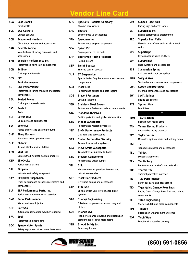| <b>SCA</b> | <b>Scat Cranks</b><br>Crankshafts                      |
|------------|--------------------------------------------------------|
| SCE        | <b>SCE Gaskets</b>                                     |
|            | Copper gaskets                                         |
| SCH        | <b>Schoenfeld Headers</b>                              |
|            | Circle track headers and accessories                   |
| SRB.       | <b>Schroth Racing</b>                                  |
|            | Manufacturer of racing harnesses and                   |
|            | accessories                                            |
| SPN        | <b>Scorpion Performance Inc.</b>                       |
|            | Performance valve train components                     |
| <b>SCR</b> | <b>Scribner</b>                                        |
|            | Fuel jugs and funnels                                  |
| SCS        | <b>SCS</b>                                             |
|            | Quick change gears                                     |
| SCT        | <b>SCT Performance</b>                                 |
|            | Performance tuning modules and related                 |
|            | components                                             |
| <b>SEA</b> | <b>Sealed Power</b>                                    |
|            | Engine parts chassis parts                             |
| SIC        | Seals-It                                               |
|            | <b>Seals</b>                                           |
| SET        | <b>Setrab USA</b>                                      |
|            | Oil coolers and components                             |
| SEY.       | Seymour                                                |
|            | Paints primers and coating products                    |
| SHP.       | <b>Sharp Rockers</b>                                   |
|            | Aluminum roller tip rocker arms                        |
| SHF        | <b>Shifnoid</b>                                        |
|            | Air and electric racing shifters                       |
| SHU        | <b>ShurTrax</b>                                        |
| <b>KBP</b> | Non scuff all weather traction products<br>Silv-O-Lite |
|            | Performance pistons                                    |
| SIM        |                                                        |
|            | Simpson<br>Helmets and safety equipment                |
| <b>SKY</b> | <b>Skyjacker Suspension</b>                            |
|            | Truck performance suspension systems and               |
|            | components                                             |
| SLP        | <b>SLP Performance Parts, Inc.</b>                     |
|            | Performance automotive accessories                     |
| SNO.       | <b>Snow Performance</b>                                |
|            | Water methanol injection                               |
| SOF        | Soff Seal                                              |
|            | Automotive restoration weather stripping               |
| SPA        | Spal                                                   |
|            | Performance electric fans                              |
| sco        | <b>Sparco Motor Sports</b>                             |
|            | Safety equipment gloves suits belts seats              |
|            |                                                        |

| SPC        | <b>Specialty Products Company</b><br><b>Chrome accessories</b>                                         |
|------------|--------------------------------------------------------------------------------------------------------|
| SPE        | Spectre<br>Engine dress up accessories                                                                 |
| SPM        | Speedmaster<br>Performance engine components                                                           |
| SEA        | Speed-Pro<br>Engine parts chassis parts                                                                |
| SRP        | <b>Sportsman Racing Products</b><br>Racing pistons                                                     |
| SBP        | <b>Sprint Booster</b><br>Throttle control booster                                                      |
| SUS        | <b>ST Suspension</b><br>Special Order Only Performance suspension<br>components                        |
| SDA        | <b>Stack LTD</b><br>Performance gauges and data logging                                                |
| SGE        | <b>Stage 8 Fasteners</b><br><b>Locking Fasteners</b>                                                   |
| SSB        | Stainless Steel Brakes<br>Performance Brakes and related components                                    |
| <b>STA</b> | <b>Standard Abrasives</b><br>Porting polishing and gasket removal kits                                 |
| STD        | <b>Steeda Autosports</b><br><b>Performance Mustang Products</b>                                        |
| STF        | <b>Stef's Performance Products</b><br>Oils pans and accessories                                        |
| SAS        | <b>Stellar Automotive Security</b><br>Automotive security systems                                      |
| <b>SSA</b> | <b>Steve Smith Autosports</b><br>Automotive racing How To books                                        |
| STE        | <b>Stewart Components</b><br>Performance water pumps                                                   |
| STI        | <b>Stilo</b><br>Manufacturers of premium helmets and<br>helmet accessories                             |
| SCP        | <b>Stock Car Products</b><br>Dry sump pumps and accessories                                            |
| STP        | <b>StopTech</b><br>Special Order Only Performance brake<br>systems                                     |
| STG        | <b>Strange Engineering</b><br>Driveline components axles and ring and<br>pinions                       |
| SOT        | <b>Strange Oval</b><br>High performance driveline and suspension<br>components for circle track racing |
| STR        | <b>Stroud Safety Inc.</b><br>Safety equipment                                                          |

| SRJ        | <b>Sunoco Race Jugs</b><br>Racing jugs and accessories            |
|------------|-------------------------------------------------------------------|
|            |                                                                   |
| SCI        | Superchips Inc.<br>Engine performance programmers                 |
| SRC        | <b>Superior Fuel Cells</b>                                        |
|            | Manufacturer of fuel cells for circle track                       |
|            | racing                                                            |
| <b>SPR</b> | Supertrapp                                                        |
|            | Performance exhaust mufflers                                      |
| <b>SUP</b> | Superwinch                                                        |
|            | Hubs winches and accessories                                      |
| SSS        | <b>Suspension Spring</b>                                          |
|            | Coil over and stock car springs                                   |
| SWA        | Sway-A-Way                                                        |
|            | Torsion bars and suspension components                            |
| <b>SWE</b> | <b>Sweet Manufacturing</b>                                        |
|            | Steering components and accessories                               |
| SWI        | <b>Swift Springs</b>                                              |
|            | Racing coil springs                                               |
| SYS        | <b>System One</b>                                                 |
|            | <b>Fuel filters</b>                                               |
|            | ٦                                                                 |
| TDM        | <b>T&amp;D Machine</b>                                            |
|            | Shaft mount rocker arms                                           |
| TAN        | <b>Tanner Racing Products</b>                                     |
|            | Automotive racing products                                        |
| TAY        | <b>Taylor/Vertex</b>                                              |
|            | Magnetos ignition wires and battery boxes                         |
| TCI        | TCI                                                               |
|            | Transmission parts and accessories                                |
| TEL        | <b>Tel-Tac</b>                                                    |
|            | Digital tachometers                                               |
| TEN        | <b>Ten Factory</b>                                                |
|            | Performance axle shafts and axle kits                             |
| THE        | Thermo-Tec                                                        |
|            | Thermal protective materials                                      |
| TI2        | <b>Ti22 Performance</b>                                           |
|            | Sprint car parts and accessories                                  |
| TIG        | <b>Tiger Quick Change Rear Ends</b>                               |
|            | Racing Quick Change Rear Ends and related<br>components           |
| TIL        |                                                                   |
|            | <b>Tilton Engineering</b><br>Starters clutch and brake components |
| <b>TIM</b> | Timbren                                                           |
|            | <b>Suspension Enhancement Systems</b>                             |
| TOR        | <b>Torch Wear</b>                                                 |
|            | Functional protective clothing                                    |

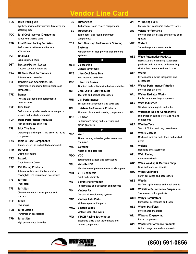| TRC        | <b>Torco Racing Oils</b>                                                      |
|------------|-------------------------------------------------------------------------------|
|            | Synthetic racing oil trasmission fluid gear and<br>assembly lube              |
| <b>TOC</b> | <b>Total Cost Involved Engineering</b>                                        |
|            | Street Rod chassis parts                                                      |
| <b>TPB</b> | <b>Total Power Racing Batteries</b>                                           |
|            | Performance batteries and battery                                             |
|            | accessories                                                                   |
| тот        | <b>Total Seal</b>                                                             |
|            | Gapless piston rings                                                          |
| DET        | Tractech/Detroit Locker<br><b>Traction control differentials</b>              |
| TRA        | TD-Trans-Dapt Performance                                                     |
|            | Automotive accessories                                                        |
| TSI        | <b>Transmission Specialties, Inc.</b>                                         |
|            | Performance and racing transmissions and                                      |
|            | components                                                                    |
| TRE        | <b>Tremec</b>                                                                 |
|            | Five and six speed high performance                                           |
|            | transmissions                                                                 |
| TRF        | <b>Trick Flow</b>                                                             |
|            | Performance cylinder heads valvetrain parts<br>pistons and related components |
| <b>TDP</b> | <b>Trend Performance Products</b>                                             |
|            | High performance push rods                                                    |
| TRI        | <b>Trick Titanium</b>                                                         |
|            | Lightweight engine parts and assorted racing                                  |
|            | components                                                                    |
| TXR        | <b>Triple X Race Components</b>                                               |
|            | Sprint car chassis and related components                                     |
| TRU        | Tru-Cool                                                                      |
| <b>TRX</b> | Engine oil coolers<br><b>Truxedo</b>                                          |
|            | <b>Truck Tonneau Covers</b>                                                   |
| TSR        | <b>TSR Racing Products</b>                                                    |
|            | Automotive transmission tech books                                            |
|            | Powerglide tech manual and accessories                                        |
| <b>TFB</b> | Tuff-Bar                                                                      |
|            | <b>Truck steps</b>                                                            |
| TFS.       | <b>Tuff-Stuff</b>                                                             |
|            | Chrome alternators water pumps and                                            |
|            | starters<br><b>Tuflex</b>                                                     |
| <b>TUF</b> | Tow straps                                                                    |
| TUR        | <b>Turbo Action</b>                                                           |
|            | <b>Transmission accessories</b>                                               |
| TRB        | Turbo Start                                                                   |
|            | High performance batteries                                                    |

| TBN | <b>Turbonetics</b><br>Turbochargers and related components                                                   |  |  |
|-----|--------------------------------------------------------------------------------------------------------------|--|--|
| TBS | <b>Turbosmart</b><br>Turbo boost and fuel management<br>components                                           |  |  |
| TOS | Turn One High Performance Steering<br><b>Systems</b><br>Manufacturer of high performance steering<br>systems |  |  |
| UBM | Ū.<br><b>UB Machine</b>                                                                                      |  |  |
| UCB | Chassis components<br><b>Ultra Cool Brake Fans</b><br>Hub mounted brake fans                                 |  |  |
| RDB | <b>Ultra-Lite Brakes</b><br>Titanium and coated racing brakes and rotors                                     |  |  |
| ult | <b>Ultra-Shield Race Products</b><br>Tear offs and helmet accessories                                        |  |  |
| UMI | <b>UMI Performance</b><br>Suspension components and sway bars                                                |  |  |
| uni | <b>Unisteer Performance Products</b><br>Ring and pinions and steering components                             |  |  |
| USG | <b>US Gear</b><br>Performance racing and street ring and                                                     |  |  |
|     |                                                                                                              |  |  |
|     | pinion gear sets                                                                                             |  |  |
| VLC | Valco<br>Thread locking adhesive gasket sealers and                                                          |  |  |
| VAL | chemicals<br>Valvoline<br>Motor oil and gear lube                                                            |  |  |
| VDO | <b>VDO</b><br>Tachometers gauges and accessories                                                             |  |  |
| VEL | Velocita-USA<br>Manufacture of premium motorsports apparel                                                   |  |  |
| VHT | <b>VHT Chemicals</b><br>Paint and chemicals                                                                  |  |  |
| VIB | <b>Vibrant Performance</b><br>Performance and fabrication components                                         |  |  |
| VIN | <b>Vintage Air</b>                                                                                           |  |  |
| VAP | Custom air conditioning systems<br><b>Vintage Auto Parts</b>                                                 |  |  |
| VNW | Vintage reproduction parts<br><b>Vintage Wires</b>                                                           |  |  |
| VTA | Vintage spark plug wires<br><b>VTACH Racing Tachometer</b><br>Electronic circle track tachometers and        |  |  |

**VPF VP Racing Fuels** Portable fuel containers and accessories **VOL Volant Performance** Performance air intakes and throttle body spacers **VOR Vortech** Superchargers and components **W WES Wade Automotive Products** Manufacturers of high impact resistant products bed caps wind deflectors bug shields hood scoops and much more **WFP Walbro** Performance electric fuel pumps and accessories **WLK Walker Performance Filtration** Performance air filters **WAL Walker Radiator Works** Radiators and cooling components **WAR Warn Industries** Winches mounting kits and hubs **WAT Waterman Racing Components** Fuel injection pumps filters and related components **WEA WeatherTech** Truck SUV floor and cargo area liners **WEH Wehrs Machine** Machined race car parts tools and related items **WEI Weiand** Manifolds and accessories **WEL Weld Racing** Aluminum wheels **WDS Wiles Welding & Machine Shop** Driveshafts and accessories **WUL Wings Unlimited** Sprint car wings and accessories **WES Westin** Nerf bars grille guards and brush guards **WHI Whiteline Performance Suspension** Suspension tuning products **WCD Willy's Carburetors** Carburetor accessories and tools **WLS Wilson Manifolds** Performance manifolds **WIL Wilwood Engineering** Brake components **WIN Winters Performance Products**



#### **(850) 591-0856**

Quick change rear end components